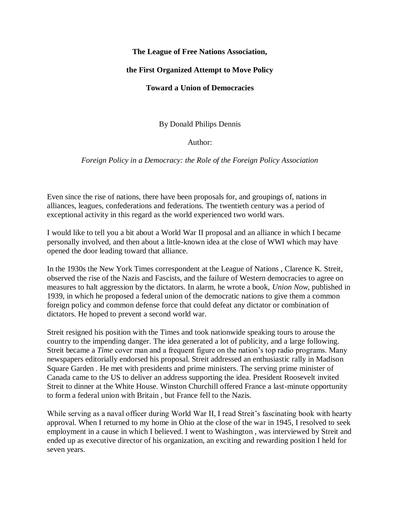## **The League of Free Nations Association,**

## **the First Organized Attempt to Move Policy**

## **Toward a Union of Democracies**

By Donald Philips Dennis

Author:

*Foreign Policy in a Democracy: the Role of the Foreign Policy Association*

Even since the rise of nations, there have been proposals for, and groupings of, nations in alliances, leagues, confederations and federations. The twentieth century was a period of exceptional activity in this regard as the world experienced two world wars.

I would like to tell you a bit about a World War II proposal and an alliance in which I became personally involved, and then about a little-known idea at the close of WWI which may have opened the door leading toward that alliance.

In the 1930s the New York Times correspondent at the League of Nations , Clarence K. Streit, observed the rise of the Nazis and Fascists, and the failure of Western democracies to agree on measures to halt aggression by the dictators. In alarm, he wrote a book, *Union Now*, published in 1939, in which he proposed a federal union of the democratic nations to give them a common foreign policy and common defense force that could defeat any dictator or combination of dictators. He hoped to prevent a second world war.

Streit resigned his position with the Times and took nationwide speaking tours to arouse the country to the impending danger. The idea generated a lot of publicity, and a large following. Streit became a *Time* cover man and a frequent figure on the nation's top radio programs. Many newspapers editorially endorsed his proposal. Streit addressed an enthusiastic rally in Madison Square Garden . He met with presidents and prime ministers. The serving prime minister of Canada came to the US to deliver an address supporting the idea. President Roosevelt invited Streit to dinner at the White House. Winston Churchill offered France a last-minute opportunity to form a federal union with Britain , but France fell to the Nazis.

While serving as a naval officer during World War II, I read Streit's fascinating book with hearty approval. When I returned to my home in Ohio at the close of the war in 1945, I resolved to seek employment in a cause in which I believed. I went to Washington , was interviewed by Streit and ended up as executive director of his organization, an exciting and rewarding position I held for seven years.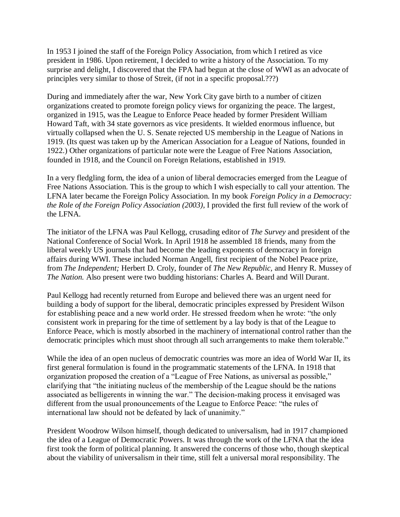In 1953 I joined the staff of the Foreign Policy Association, from which I retired as vice president in 1986. Upon retirement, I decided to write a history of the Association. To my surprise and delight, I discovered that the FPA had begun at the close of WWI as an advocate of principles very similar to those of Streit, (if not in a specific proposal.???)

During and immediately after the war, New York City gave birth to a number of citizen organizations created to promote foreign policy views for organizing the peace. The largest, organized in 1915, was the League to Enforce Peace headed by former President William Howard Taft, with 34 state governors as vice presidents. It wielded enormous influence, but virtually collapsed when the U. S. Senate rejected US membership in the League of Nations in 1919. (Its quest was taken up by the American Association for a League of Nations, founded in 1922.) Other organizations of particular note were the League of Free Nations Association, founded in 1918, and the Council on Foreign Relations, established in 1919.

In a very fledgling form, the idea of a union of liberal democracies emerged from the League of Free Nations Association. This is the group to which I wish especially to call your attention. The LFNA later became the Foreign Policy Association. In my book *Foreign Policy in a Democracy: the Role of the Foreign Policy Association (2003),* I provided the first full review of the work of the LFNA.

The initiator of the LFNA was Paul Kellogg, crusading editor of *The Survey* and president of the National Conference of Social Work. In April 1918 he assembled 18 friends, many from the liberal weekly US journals that had become the leading exponents of democracy in foreign affairs during WWI. These included Norman Angell, first recipient of the Nobel Peace prize, from *The Independent;* Herbert D. Croly, founder of *The New Republic,* and Henry R. Mussey of *The Nation.* Also present were two budding historians: Charles A. Beard and Will Durant.

Paul Kellogg had recently returned from Europe and believed there was an urgent need for building a body of support for the liberal, democratic principles expressed by President Wilson for establishing peace and a new world order. He stressed freedom when he wrote: "the only consistent work in preparing for the time of settlement by a lay body is that of the League to Enforce Peace, which is mostly absorbed in the machinery of international control rather than the democratic principles which must shoot through all such arrangements to make them tolerable."

While the idea of an open nucleus of democratic countries was more an idea of World War II, its first general formulation is found in the programmatic statements of the LFNA. In 1918 that organization proposed the creation of a "League of Free Nations, as universal as possible," clarifying that "the initiating nucleus of the membership of the League should be the nations associated as belligerents in winning the war." The decision-making process it envisaged was different from the usual pronouncements of the League to Enforce Peace: "the rules of international law should not be defeated by lack of unanimity."

President Woodrow Wilson himself, though dedicated to universalism, had in 1917 championed the idea of a League of Democratic Powers. It was through the work of the LFNA that the idea first took the form of political planning. It answered the concerns of those who, though skeptical about the viability of universalism in their time, still felt a universal moral responsibility. The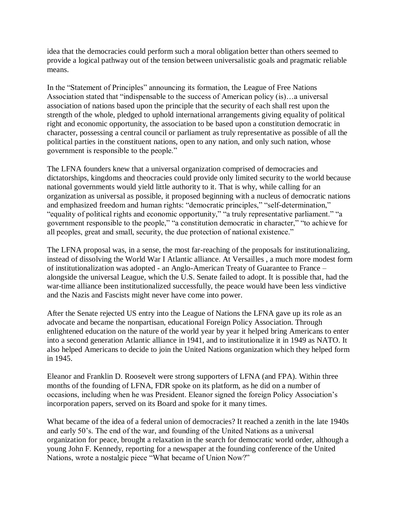idea that the democracies could perform such a moral obligation better than others seemed to provide a logical pathway out of the tension between universalistic goals and pragmatic reliable means.

In the "Statement of Principles" announcing its formation, the League of Free Nations Association stated that "indispensable to the success of American policy (is)…a universal association of nations based upon the principle that the security of each shall rest upon the strength of the whole, pledged to uphold international arrangements giving equality of political right and economic opportunity, the association to be based upon a constitution democratic in character, possessing a central council or parliament as truly representative as possible of all the political parties in the constituent nations, open to any nation, and only such nation, whose government is responsible to the people."

The LFNA founders knew that a universal organization comprised of democracies and dictatorships, kingdoms and theocracies could provide only limited security to the world because national governments would yield little authority to it. That is why, while calling for an organization as universal as possible, it proposed beginning with a nucleus of democratic nations and emphasized freedom and human rights: "democratic principles," "self-determination," "equality of political rights and economic opportunity," "a truly representative parliament." "a government responsible to the people," "a constitution democratic in character," "to achieve for all peoples, great and small, security, the due protection of national existence."

The LFNA proposal was, in a sense, the most far-reaching of the proposals for institutionalizing, instead of dissolving the World War I Atlantic alliance. At Versailles , a much more modest form of institutionalization was adopted - an Anglo-American Treaty of Guarantee to France – alongside the universal League, which the U.S. Senate failed to adopt. It is possible that, had the war-time alliance been institutionalized successfully, the peace would have been less vindictive and the Nazis and Fascists might never have come into power.

After the Senate rejected US entry into the League of Nations the LFNA gave up its role as an advocate and became the nonpartisan, educational Foreign Policy Association. Through enlightened education on the nature of the world year by year it helped bring Americans to enter into a second generation Atlantic alliance in 1941, and to institutionalize it in 1949 as NATO. It also helped Americans to decide to join the United Nations organization which they helped form in 1945.

Eleanor and Franklin D. Roosevelt were strong supporters of LFNA (and FPA). Within three months of the founding of LFNA, FDR spoke on its platform, as he did on a number of occasions, including when he was President. Eleanor signed the foreign Policy Association's incorporation papers, served on its Board and spoke for it many times.

What became of the idea of a federal union of democracies? It reached a zenith in the late 1940s and early 50's. The end of the war, and founding of the United Nations as a universal organization for peace, brought a relaxation in the search for democratic world order, although a young John F. Kennedy, reporting for a newspaper at the founding conference of the United Nations, wrote a nostalgic piece "What became of Union Now?"